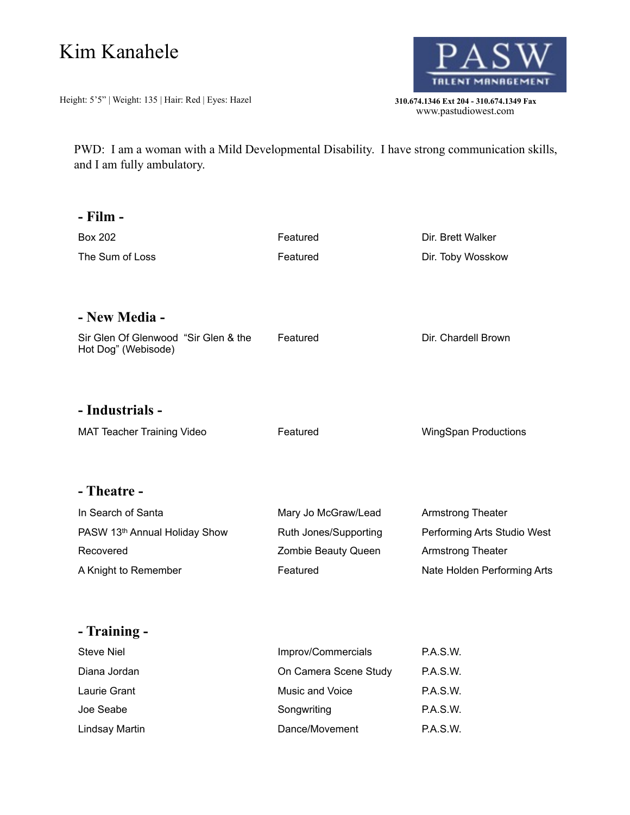## Kim Kanahele

Height: 5'5" | Weight: 135 | Hair: Red | Eyes: Hazel **310.674.1346 Ext 204 - 310.674.1349 Fax** 



310.674.1346 Ext 204 - 310.674.1349 Fax<br>www.pastudiowest.com

PWD: I am a woman with a Mild Developmental Disability. I have strong communication skills, and I am fully ambulatory.

| - Film -                                                    |                       |                             |
|-------------------------------------------------------------|-----------------------|-----------------------------|
| <b>Box 202</b>                                              | Featured              | Dir. Brett Walker           |
| The Sum of Loss                                             | Featured              | Dir. Toby Wosskow           |
| - New Media -                                               |                       |                             |
| Sir Glen Of Glenwood "Sir Glen & the<br>Hot Dog" (Webisode) | Featured              | Dir. Chardell Brown         |
| - Industrials -                                             |                       |                             |
| <b>MAT Teacher Training Video</b>                           | Featured              | <b>WingSpan Productions</b> |
| - Theatre -                                                 |                       |                             |
| In Search of Santa                                          | Mary Jo McGraw/Lead   | Armstrong Theater           |
| PASW 13th Annual Holiday Show                               | Ruth Jones/Supporting | Performing Arts Studio West |
| Recovered                                                   | Zombie Beauty Queen   | <b>Armstrong Theater</b>    |
| A Knight to Remember                                        | Featured              | Nate Holden Performing Arts |
| - Training -                                                |                       |                             |
| <b>Steve Niel</b>                                           | Improv/Commercials    | P.A.S.W.                    |
| Diana Jordan                                                | On Camera Scene Study | P.A.S.W.                    |
| Laurie Grant                                                | Music and Voice       | P.A.S.W.                    |

Joe Seabe **Songwriting Songwriting P.A.S.W.** Lindsay Martin **Community Community** Dance/Movement P.A.S.W.